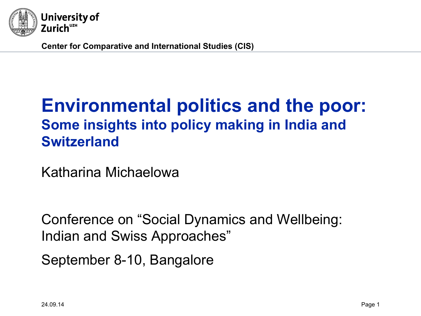

**Center for Comparative and International Studies (CIS)** 

# **Environmental politics and the poor: Some insights into policy making in India and Switzerland**

Katharina Michaelowa

Conference on "Social Dynamics and Wellbeing: Indian and Swiss Approaches"

September 8-10, Bangalore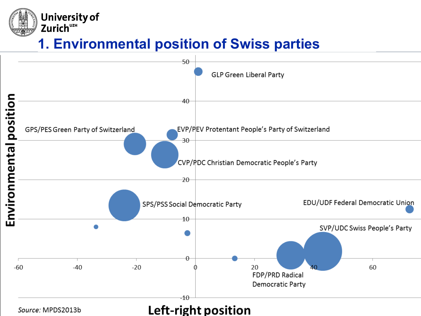# **1. Environmental position of Swiss parties**

**University of** 

Zurich<sup>UZH</sup>

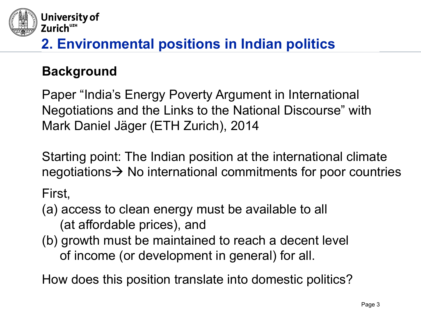

## **Background**

Paper "India's Energy Poverty Argument in International Negotiations and the Links to the National Discourse" with Mark Daniel Jäger (ETH Zurich), 2014

Starting point: The Indian position at the international climate negotiations  $\rightarrow$  No international commitments for poor countries

First,

- (a) access to clean energy must be available to all (at affordable prices), and
- (b) growth must be maintained to reach a decent level of income (or development in general) for all.

How does this position translate into domestic politics?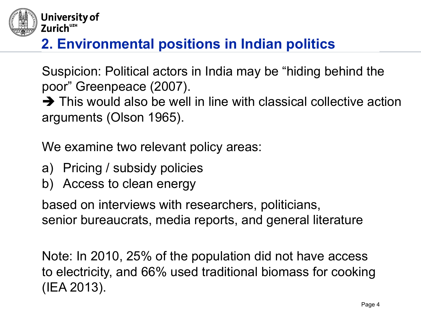

Suspicion: Political actors in India may be "hiding behind the poor" Greenpeace (2007).

 $\rightarrow$  This would also be well in line with classical collective action arguments (Olson 1965).

We examine two relevant policy areas:

- a) Pricing / subsidy policies
- b) Access to clean energy

based on interviews with researchers, politicians, senior bureaucrats, media reports, and general literature

Note: In 2010, 25% of the population did not have access to electricity, and 66% used traditional biomass for cooking (IEA 2013).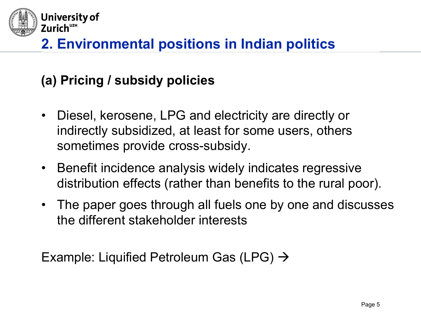

## **(a) Pricing / subsidy policies**

- • Diesel, kerosene, LPG and electricity are directly or indirectly subsidized, at least for some users, others sometimes provide cross-subsidy.
- Benefit incidence analysis widely indicates regressive distribution effects (rather than benefits to the rural poor).
- The paper goes through all fuels one by one and discusses the different stakeholder interests

Example: Liquified Petroleum Gas (LPG)  $\rightarrow$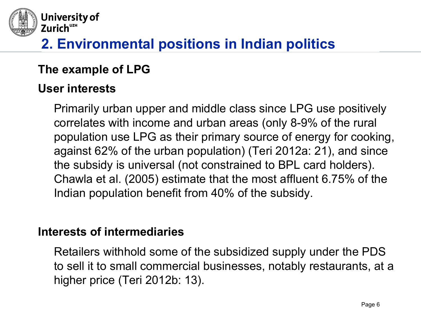

#### **The example of LPG**

#### **User interests**

Primarily urban upper and middle class since LPG use positively correlates with income and urban areas (only 8-9% of the rural population use LPG as their primary source of energy for cooking, against 62% of the urban population) (Teri 2012a: 21), and since the subsidy is universal (not constrained to BPL card holders). Chawla et al. (2005) estimate that the most affluent 6.75% of the Indian population benefit from 40% of the subsidy.

#### **Interests of intermediaries**

Retailers withhold some of the subsidized supply under the PDS to sell it to small commercial businesses, notably restaurants, at a higher price (Teri 2012b: 13).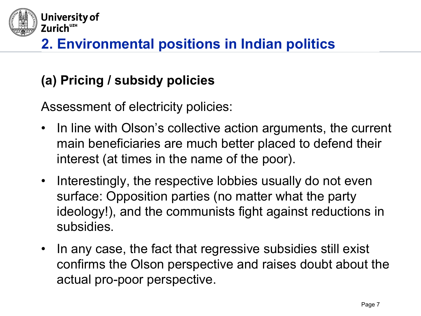

## **(a) Pricing / subsidy policies**

Assessment of electricity policies: 

- In line with Olson's collective action arguments, the current main beneficiaries are much better placed to defend their interest (at times in the name of the poor).
- Interestingly, the respective lobbies usually do not even surface: Opposition parties (no matter what the party ideology!), and the communists fight against reductions in subsidies.
- In any case, the fact that regressive subsidies still exist confirms the Olson perspective and raises doubt about the actual pro-poor perspective.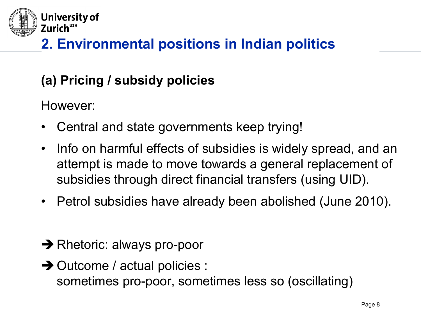

## **(a) Pricing / subsidy policies**

 However:

- Central and state governments keep trying!
- • Info on harmful effects of subsidies is widely spread, and an attempt is made to move towards a general replacement of subsidies through direct financial transfers (using UID).
- Petrol subsidies have already been abolished (June 2010).
- $\rightarrow$  Rhetoric: always pro-poor
- $\rightarrow$  Outcome / actual policies : sometimes pro-poor, sometimes less so (oscillating)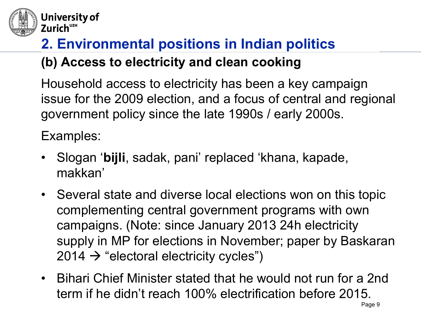

#### University of Zurich<sup>UZH</sup>

# **2. Environmental positions in Indian politics (b) Access to electricity and clean cooking**

 issue for the 2009 election, and a focus of central and regional Household access to electricity has been a key campaign government policy since the late 1990s / early 2000s.

 Examples:

- Slogan '**bijli**, sadak, pani' replaced 'khana, kapade, makkan'
- Several state and diverse local elections won on this topic complementing central government programs with own campaigns. (Note: since January 2013 24h electricity supply in MP for elections in November; paper by Baskaran  $2014 \rightarrow$  "electoral electricity cycles")
- Bihari Chief Minister stated that he would not run for a 2nd term if he didn't reach 100% electrification before 2015.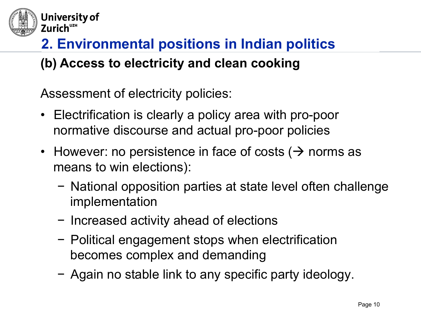

# **2. Environmental positions in Indian politics (b) Access to electricity and clean cooking**

 Assessment of electricity policies:

- Electrification is clearly a policy area with pro-poor normative discourse and actual pro-poor policies
- However: no persistence in face of costs ( $\rightarrow$  norms as means to win elections):
	- − National opposition parties at state level often challenge implementation
	- − Increased activity ahead of elections
	- − Political engagement stops when electrification becomes complex and demanding
	- − Again no stable link to any specific party ideology.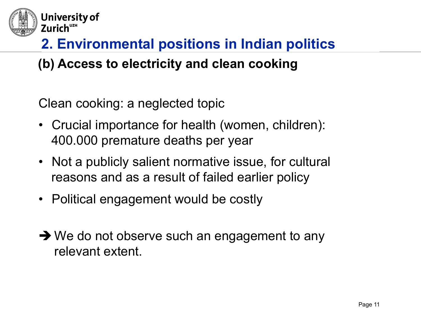

#### **(b) Access to electricity and clean cooking**

 Clean cooking: a neglected topic

- Crucial importance for health (women, children): 400.000 premature deaths per year
- Not a publicly salient normative issue, for cultural reasons and as a result of failed earlier policy
- Political engagement would be costly
- $\rightarrow$  We do not observe such an engagement to any relevant extent.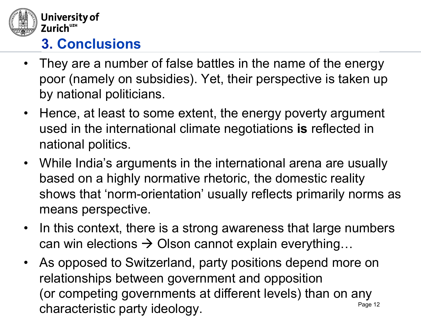

# **3. Conclusions**

- They are a number of false battles in the name of the energy poor (namely on subsidies). Yet, their perspective is taken up by national politicians.
- Hence, at least to some extent, the energy poverty argument used in the international climate negotiations **is** reflected in national politics.
- While India's arguments in the international arena are usually based on a highly normative rhetoric, the domestic reality shows that 'norm-orientation' usually reflects primarily norms as means perspective.
- In this context, there is a strong awareness that large numbers can win elections  $\rightarrow$  Olson cannot explain everything...
- Page 12 • As opposed to Switzerland, party positions depend more on relationships between government and opposition (or competing governments at different levels) than on any characteristic party ideology.